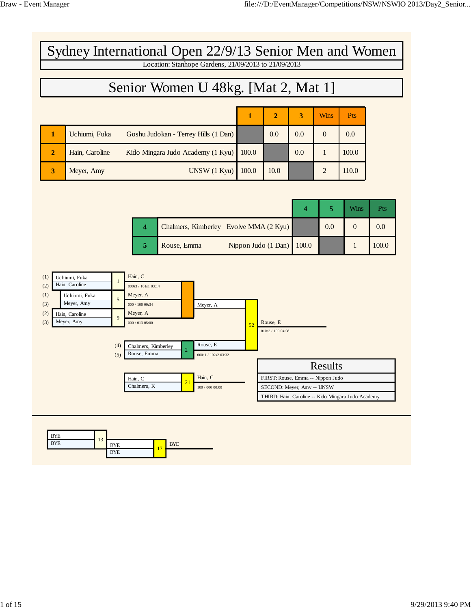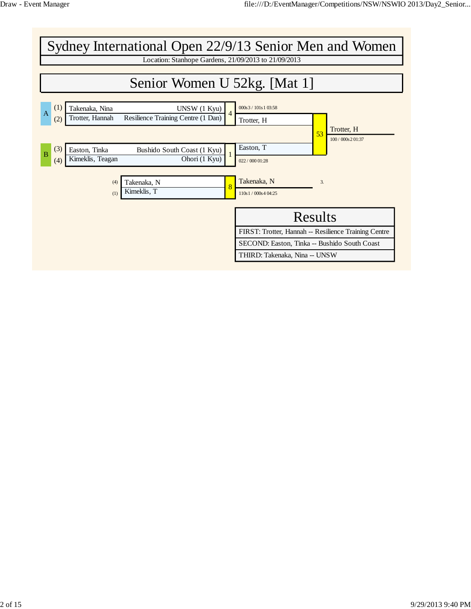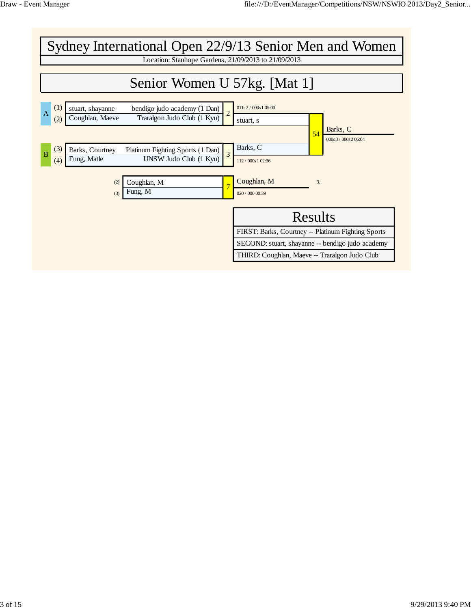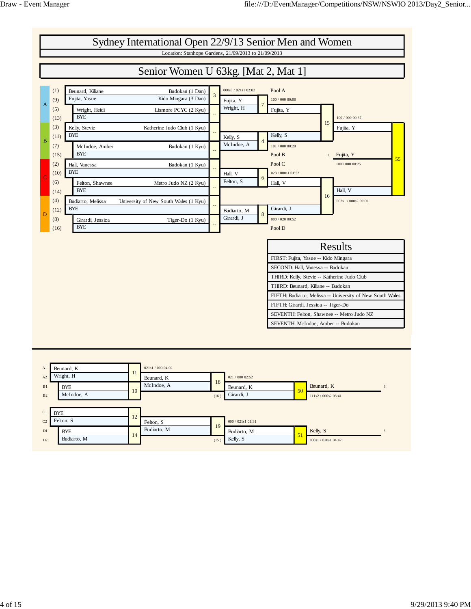

| A1             | Beunard, K  |     | 021s1 / 000 04:02 |      |                   |                     |    |
|----------------|-------------|-----|-------------------|------|-------------------|---------------------|----|
| A2             | Wright, H   | 11. | Beunard, K        |      | 021 / 000 02:52   |                     |    |
| B1             | <b>BYE</b>  | 10  | McIndoe, A        | 18   | Beunard, K<br>50  | Beunard, K          | 3. |
| B <sub>2</sub> | McIndoe, A  |     |                   | (16) | Girardi, J        | 111s2 / 000s2 03:41 |    |
|                |             |     |                   |      |                   |                     |    |
|                |             |     |                   |      |                   |                     |    |
| C1             | <b>BYE</b>  |     |                   |      |                   |                     |    |
| C <sub>2</sub> | Felton, S   | 12  | Felton, S         |      | 000 / 021s1 01:31 |                     |    |
| D1             | <b>BYE</b>  |     | Budiarto, M       | 19   | Budiarto, M       | Kelly, S            | 3. |
| D2             | Budiarto, M | 14  |                   | (15) | 51<br>Kelly, S    | 000s1 / 020s1 04:47 |    |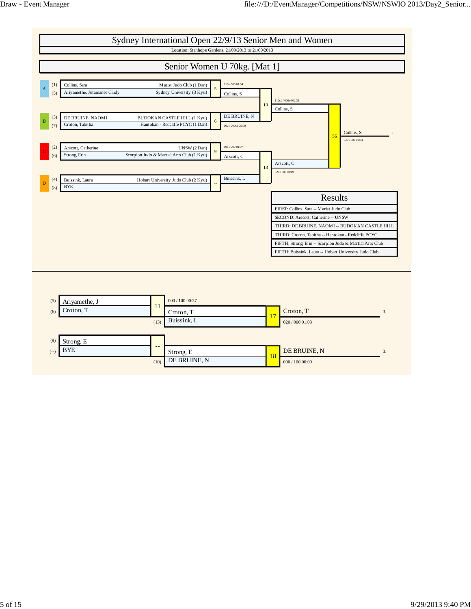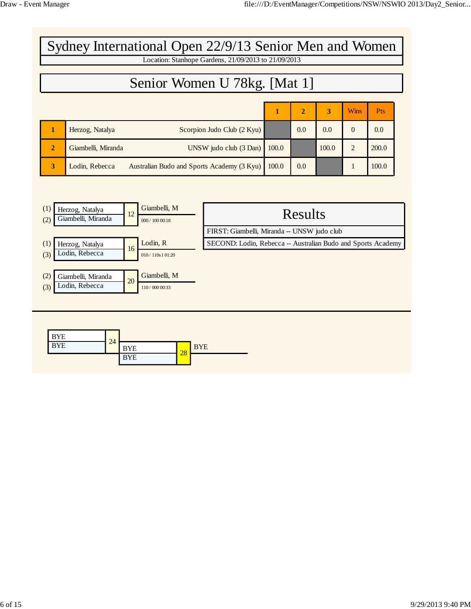| Sydney International Open 22/9/13 Senior Men and Women |                                                              |  |       |                |              |                |            |  |  |  |  |  |
|--------------------------------------------------------|--------------------------------------------------------------|--|-------|----------------|--------------|----------------|------------|--|--|--|--|--|
| Location: Stanhope Gardens, 21/09/2013 to 21/09/2013   |                                                              |  |       |                |              |                |            |  |  |  |  |  |
| Senior Women U 78kg. [Mat 1]                           |                                                              |  |       |                |              |                |            |  |  |  |  |  |
|                                                        |                                                              |  |       | $\overline{2}$ | $\mathbf{R}$ | <b>Wins</b>    | <b>Pts</b> |  |  |  |  |  |
|                                                        | Scorpion Judo Club (2 Kyu)<br>Herzog, Natalya                |  |       | 0.0            | 0.0          | $\Omega$       | 0.0        |  |  |  |  |  |
| $\overline{2}$                                         | UNSW judo club (3 Dan)<br>Giambelli, Miranda                 |  | 100.0 |                | 100.0        | $\overline{2}$ | 200.0      |  |  |  |  |  |
| 3                                                      | Lodin, Rebecca<br>Australian Budo and Sports Academy (3 Kyu) |  | 100.0 | 0.0            |              |                | 100.0      |  |  |  |  |  |

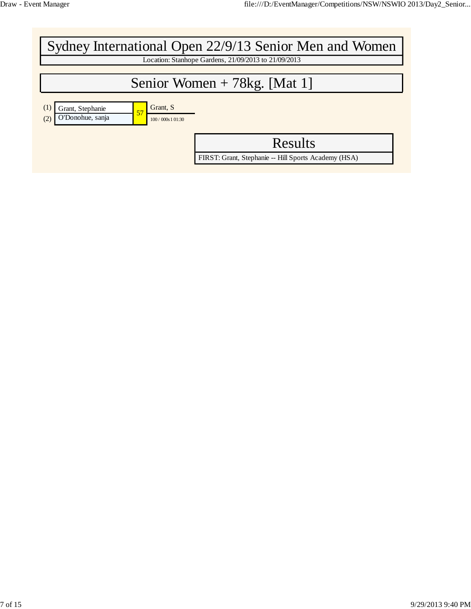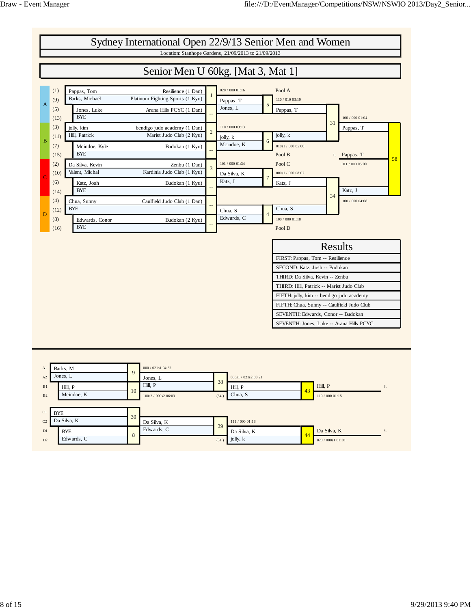

| A1             | Barks, M    | 9  | 000 / 021s1 04:32   |      |                     |    |                   |                  |
|----------------|-------------|----|---------------------|------|---------------------|----|-------------------|------------------|
| A2             | Jones, L    |    | Jones, L            | 38   | 000s1 / 021s2 03:21 |    |                   |                  |
| B1             | Hill, P     | 10 | Hill, P             |      | Hill, P             | 43 | Hill, P           | 3.               |
| B <sub>2</sub> | Mcindoe, K  |    | 100s2 / 000s2 06:03 | (34) | Chua, S             |    | 110 / 000 01:15   |                  |
|                |             |    |                     |      |                     |    |                   |                  |
| C1             | <b>BYE</b>  | 30 |                     |      |                     |    |                   |                  |
| C <sub>2</sub> | Da Silva, K |    | Da Silva, K         | 39   | 111 / 000 01:18     |    |                   |                  |
| D1             | <b>BYE</b>  | 8  | Edwards, C          |      | Da Silva, K         |    | Da Silva, K       | $\overline{3}$ . |
| D2             | Edwards, C  |    |                     | (31) | jolly, k            | 44 | 020 / 000s1 01:30 |                  |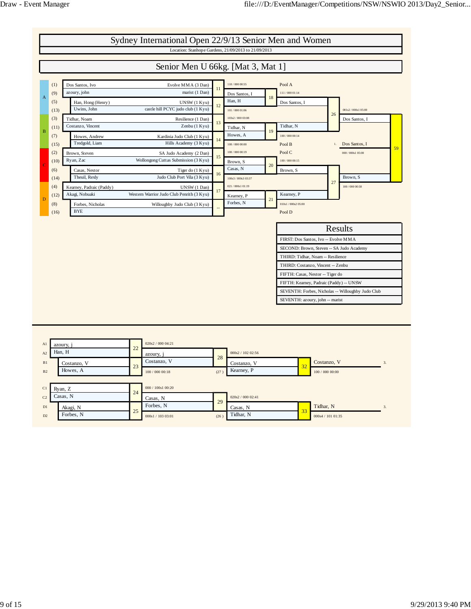

|                | Contains  | $\bigcap$ |                   |      | COUGHLO,          | 32 |                  |    |
|----------------|-----------|-----------|-------------------|------|-------------------|----|------------------|----|
| B <sub>2</sub> | Howes, A  | 23        | 100 / 000 00:18   | (27) | Kearney, P        |    | 100/000 00:00    |    |
|                |           |           |                   |      |                   |    |                  |    |
| C1             | Ryan, Z   | 24        | 000 / 100s1 00:20 |      |                   |    |                  |    |
| C <sub>2</sub> | Casas, N  |           | Casas, N          |      | 020s2 / 000 02:41 |    |                  |    |
| D1             | Akagi, N  | 25        | Forbes, N         | 29   | Casas, N          | 33 | Tidhar, N        | э. |
| D2             | Forbes, N |           | 000s1 / 103 03:01 | (26) | Tidhar, N         |    | 000s4 / 10101:35 |    |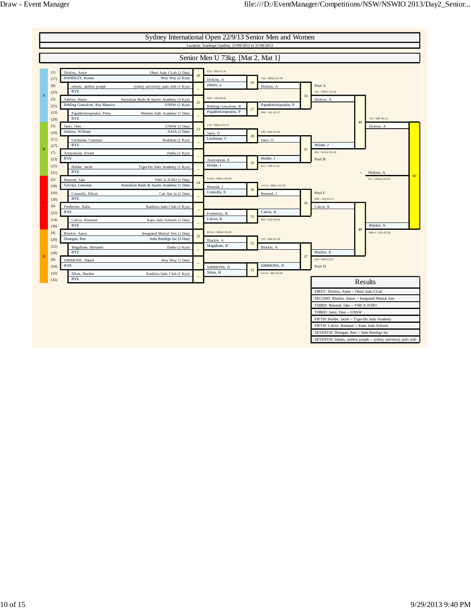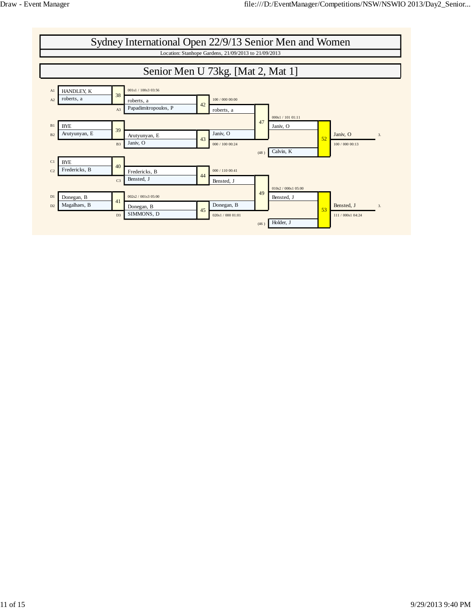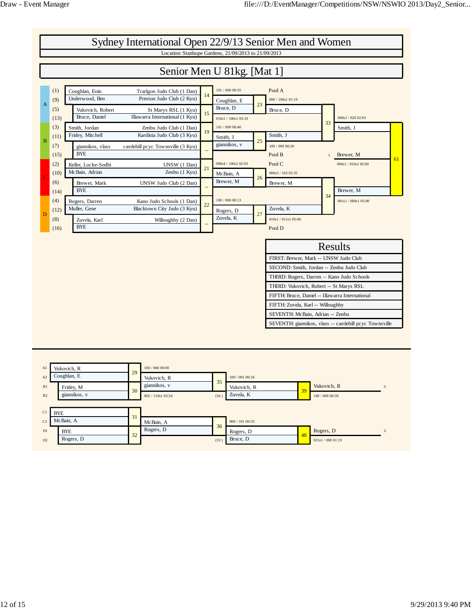

| A1             | Vukovich, R  | 29 | 100 / 000 00:00   |      |                 |    |                   |    |
|----------------|--------------|----|-------------------|------|-----------------|----|-------------------|----|
| A2             | Coughlan, E  |    | Vukovich, R       |      | 100 / 001 00:34 |    |                   |    |
| B1             | Fridey, M    | 30 | giannikos, v      | 35   | Vukovich, R     | 39 | Vukovich, R       | 3. |
| B <sub>2</sub> | giannikos, v |    | 002 / 110s1 03:54 | (34) | Zuvela, K       |    | 100 / 000 00:39   |    |
|                |              |    |                   |      |                 |    |                   |    |
| C1             | <b>BYE</b>   | 31 |                   |      |                 |    |                   |    |
| C <sub>2</sub> | McBain, A    |    | McBain, A         | 36   | 000 / 101 00:33 |    |                   |    |
| D1             | <b>BYE</b>   | 32 | Rogers, D         |      | Rogers, D       | 48 | Rogers, D         | 3. |
| D2             | Rogers, D    |    |                   | (33) | Bruce, D        |    | 021s1 / 000 01:19 |    |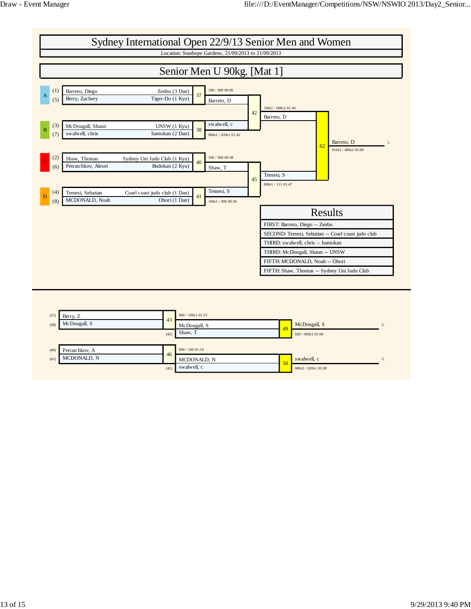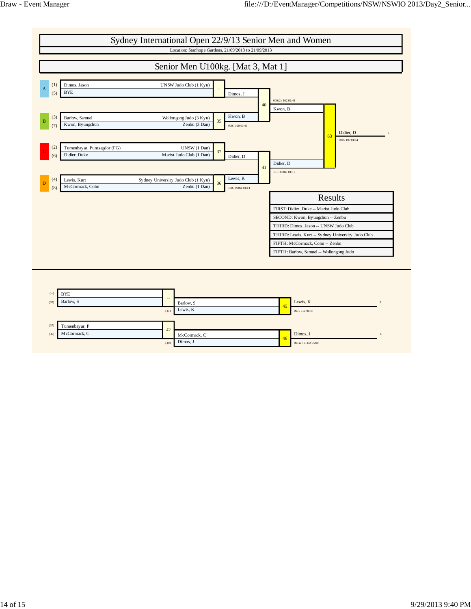

(40) Dimos, J 001s2/011s2 05:00